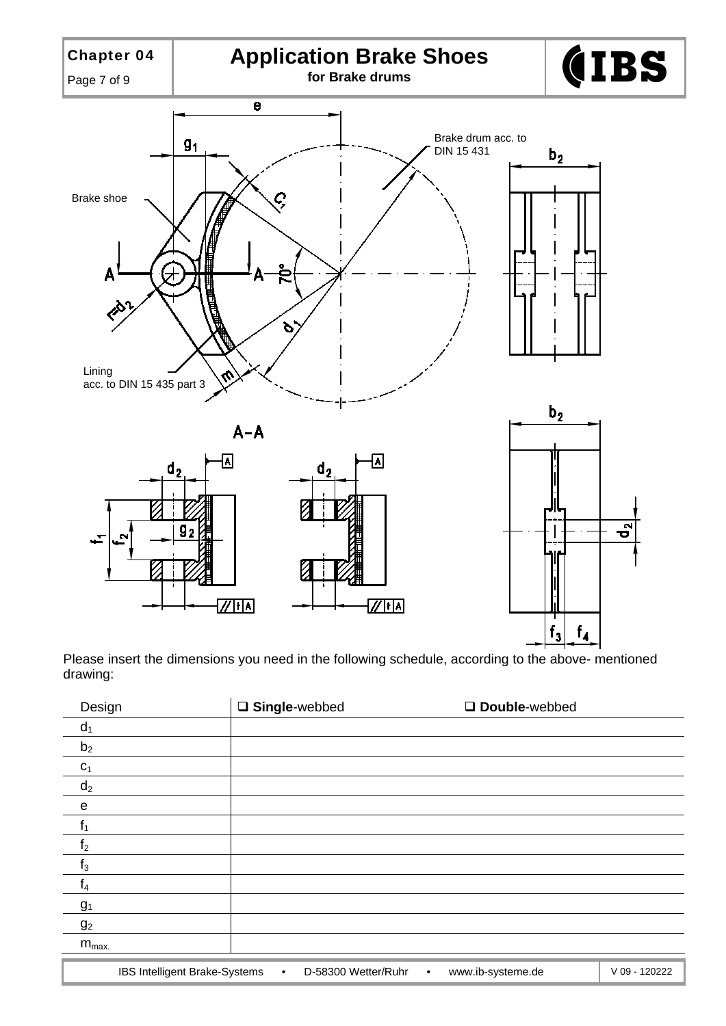

Please insert the dimensions you need in the following schedule, according to the above- mentioned drawing:

| Design         |                               | □ Single-webbed |                     |           | Double-webbed     |               |
|----------------|-------------------------------|-----------------|---------------------|-----------|-------------------|---------------|
| $d_1$          |                               |                 |                     |           |                   |               |
| b <sub>2</sub> |                               |                 |                     |           |                   |               |
| C <sub>1</sub> |                               |                 |                     |           |                   |               |
| $d_2$          |                               |                 |                     |           |                   |               |
| e              |                               |                 |                     |           |                   |               |
| f <sub>1</sub> |                               |                 |                     |           |                   |               |
| f <sub>2</sub> |                               |                 |                     |           |                   |               |
| $f_3$          |                               |                 |                     |           |                   |               |
| I4             |                               |                 |                     |           |                   |               |
| g <sub>1</sub> |                               |                 |                     |           |                   |               |
| g <sub>2</sub> |                               |                 |                     |           |                   |               |
| $m_{max.}$     |                               |                 |                     |           |                   |               |
|                |                               |                 |                     |           |                   |               |
|                | IBS Intelligent Brake-Systems | $\bullet$       | D-58300 Wetter/Ruhr | $\bullet$ | www.ib-systeme.de | V 09 - 120222 |